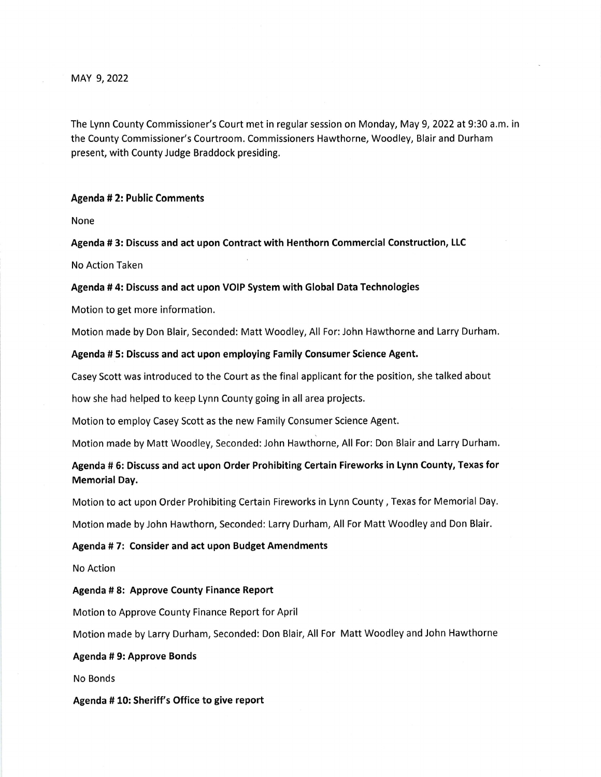MAY 9,2022

The Lynn County Commissioner's Court met in regular session on Monday, May 9, 2022 at 9:30 a.m. in the County Commissioner's Courtroom. Commissioners Hawthorne, Woodley, Blair and Durham present, with County Judge Braddock presiding.

### Agenda # 2: Public Comments

None

Agenda # 3: Discuss and act upon Contract with Henthorn Commercial Construction, LLC

No Action Taken

#### Agenda # 4: Discuss and act upon VOIP System with Global Data Technologies

Motion to get more information.

Motion made by Don Blair, Seconded: Matt Woodley, All For: John Hawthorne and Larry Durham.

#### Agenda # 5: Discuss and act upon employing Family Consumer Science Agent.

Casey Scott was introduced to the Court as the final applicant for the position, she talked about

how she had helped to keep Lynn County going in all area projects.

Motion to employ Casey Scott as the new Family Consumer Science Agent.

Motion made by Matt Woodley, Seconded: John Hawthorne, All For: Don Blair and Larry Durham.

Agenda # 6: Discuss and act upon Order Prohibiting Certain Fireworks in Lynn County, Texas for Memorial Day.

Motion to act upon Order Prohibiting Certain Fireworks in Lynn County, Texas for Memorial Day.

Motion made by John Hawthorn, Seconded: Larry Durham, All For Matt Woodley and Don Blair.

### Agenda # 7: Consider and act upon Budget Amendments

No Action

Agenda # 8: Approve County Finance Report

Motion to Approve County Finance Report for April

Motion made by Larry Durham, Seconded: Don Blair, All For Matt Woodley and John Hawthorne

Agenda # 9: Approve Bonds

No Bonds

Agenda #10: Sheriff's Office to give report